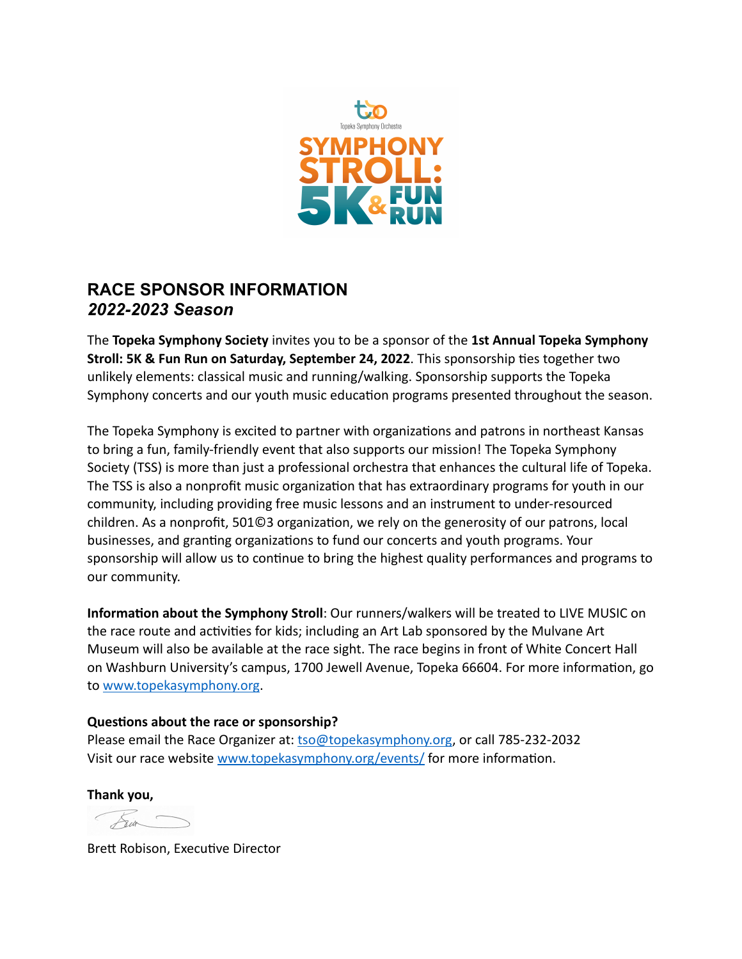

# **RACE SPONSOR INFORMATION**  *2022-2023 Season*

The **Topeka Symphony Society** invites you to be a sponsor of the **1st Annual Topeka Symphony Stroll: 5K & Fun Run on Saturday, September 24, 2022**. This sponsorship ties together two unlikely elements: classical music and running/walking. Sponsorship supports the Topeka Symphony concerts and our youth music education programs presented throughout the season.

The Topeka Symphony is excited to partner with organizations and patrons in northeast Kansas to bring a fun, family-friendly event that also supports our mission! The Topeka Symphony Society (TSS) is more than just a professional orchestra that enhances the cultural life of Topeka. The TSS is also a nonprofit music organization that has extraordinary programs for youth in our community, including providing free music lessons and an instrument to under-resourced children. As a nonprofit, 501©3 organization, we rely on the generosity of our patrons, local businesses, and granting organizations to fund our concerts and youth programs. Your sponsorship will allow us to continue to bring the highest quality performances and programs to our community.

**Information about the Symphony Stroll**: Our runners/walkers will be treated to LIVE MUSIC on the race route and activities for kids; including an Art Lab sponsored by the Mulvane Art Museum will also be available at the race sight. The race begins in front of White Concert Hall on Washburn University's campus, 1700 Jewell Avenue, Topeka 66604. For more information, go to [www.topekasymphony.org](http://www.topekasymphony.org).

## **Questions about the race or sponsorship?**

Please email the Race Organizer at: [tso@topekasymphony.org](mailto:tso@topekasymphony.org), or call 785-232-2032 Visit our race website [www.topekasymphony.org/events/](http://www.topekasymphony.org/events/) for more information.

**Thank you,**

 $\overline{\mathcal{K}}$ in

Brett Robison, Executive Director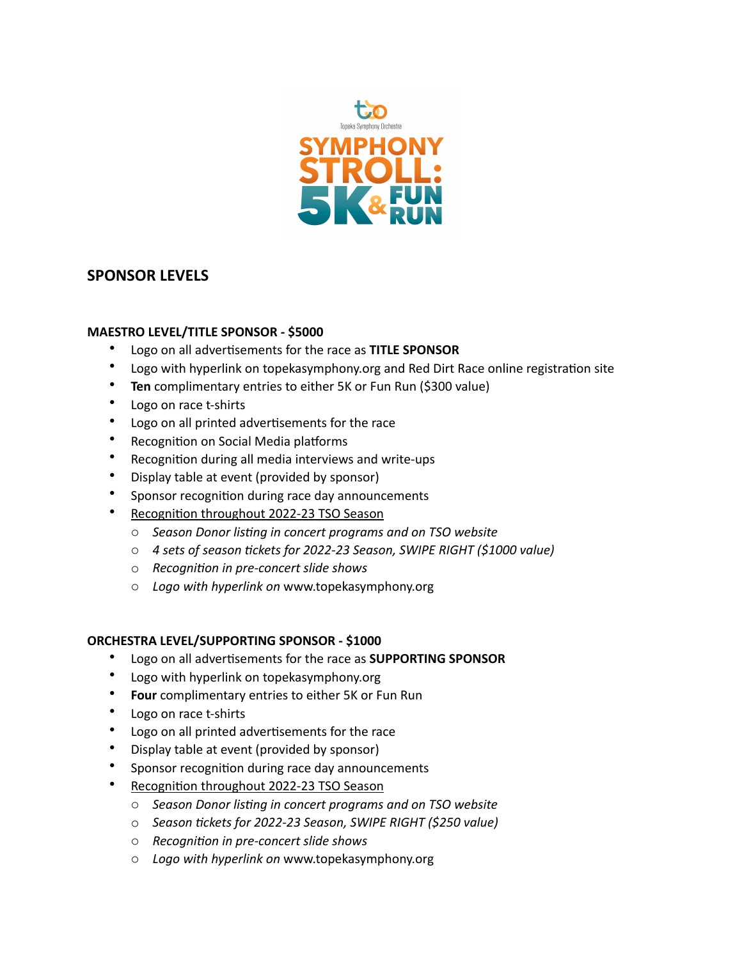

## **SPONSOR LEVELS**

## **MAESTRO LEVEL/TITLE SPONSOR - \$5000**

- Logo on all advertisements for the race as **TITLE SPONSOR**
- Logo with hyperlink on topekasymphony.org and Red Dirt Race online registration site
- **Ten** complimentary entries to either 5K or Fun Run (\$300 value)
- Logo on race t-shirts
- Logo on all printed advertisements for the race
- Recognition on Social Media platforms
- Recognition during all media interviews and write-ups
- Display table at event (provided by sponsor)
- Sponsor recognition during race day announcements
- Recognition throughout 2022-23 TSO Season
	- o *Season Donor listing in concert programs and on TSO website*
	- o *4 sets of season tickets for 2022-23 Season, SWIPE RIGHT (\$1000 value)*
	- o *Recognition in pre-concert slide shows*
	- o *Logo with hyperlink on* www.topekasymphony.org

## **ORCHESTRA LEVEL/SUPPORTING SPONSOR - \$1000**

- Logo on all advertisements for the race as **SUPPORTING SPONSOR**
- Logo with hyperlink on topekasymphony.org
- **Four** complimentary entries to either 5K or Fun Run
- Logo on race t-shirts
- Logo on all printed advertisements for the race
- Display table at event (provided by sponsor)
- Sponsor recognition during race day announcements
- Recognition throughout 2022-23 TSO Season
	- o *Season Donor listing in concert programs and on TSO website*
	- o *Season tickets for 2022-23 Season, SWIPE RIGHT (\$250 value)*
	- o *Recognition in pre-concert slide shows*
	- o *Logo with hyperlink on* www.topekasymphony.org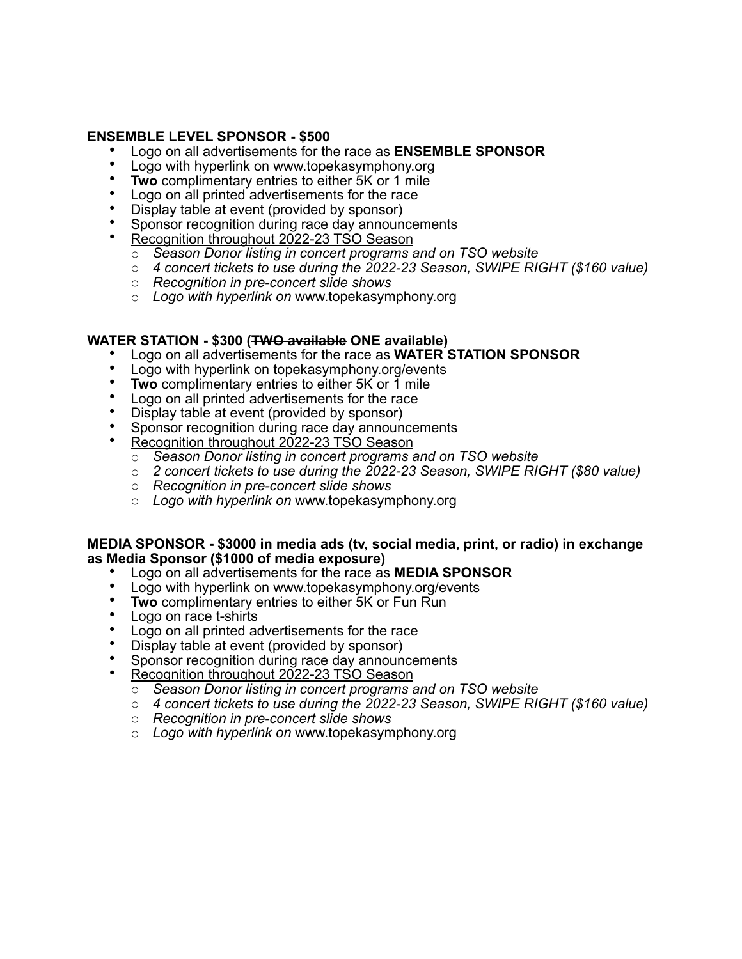## **ENSEMBLE LEVEL SPONSOR - \$500**

- Logo on all advertisements for the race as **ENSEMBLE SPONSOR**
- Logo with hyperlink on www.topekasymphony.org
- **Two** complimentary entries to either 5K or 1 mile
- Logo on all printed advertisements for the race
- Display table at event (provided by sponsor)
- Sponsor recognition during race day announcements
- Recognition throughout 2022-23 TSO Season
	- o *Season Donor listing in concert programs and on TSO website*
	- o *4 concert tickets to use during the 2022-23 Season, SWIPE RIGHT (\$160 value)*
	- o *Recognition in pre-concert slide shows*
	- o *Logo with hyperlink on* www.topekasymphony.org

#### **WATER STATION - \$300 (TWO available ONE available)**

- Logo on all advertisements for the race as **WATER STATION SPONSOR**
- Logo with hyperlink on topekasymphony.org/events
- **Two** complimentary entries to either 5K or 1 mile
- Logo on all printed advertisements for the race
- Display table at event (provided by sponsor)
- Sponsor recognition during race day announcements
- Recognition throughout 2022-23 TSO Season
	- o *Season Donor listing in concert programs and on TSO website*
	- o *2 concert tickets to use during the 2022-23 Season, SWIPE RIGHT (\$80 value)*
	- o *Recognition in pre-concert slide shows*
	- o *Logo with hyperlink on* www.topekasymphony.org

#### **MEDIA SPONSOR - \$3000 in media ads (tv, social media, print, or radio) in exchange as Media Sponsor (\$1000 of media exposure)**

- Logo on all advertisements for the race as **MEDIA SPONSOR**
- Logo with hyperlink on www.topekasymphony.org/events
- **Two complimentary entries to either 5K or Fun Run**
- Logo on race t-shirts
- Logo on all printed advertisements for the race
- Display table at event (provided by sponsor)
- Sponsor recognition during race day announcements
	- Recognition throughout 2022-23 TSO Season
		- o *Season Donor listing in concert programs and on TSO website*
		- o *4 concert tickets to use during the 2022-23 Season, SWIPE RIGHT (\$160 value)*
		- o *Recognition in pre-concert slide shows*
		- o *Logo with hyperlink on* www.topekasymphony.org